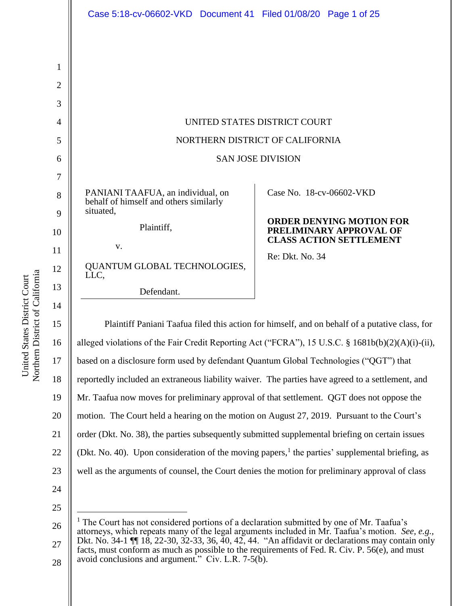| Case 5:18-cv-06602-VKD Document 41 Filed 01/08/20 Page 1 of 25              |                                                            |
|-----------------------------------------------------------------------------|------------------------------------------------------------|
|                                                                             |                                                            |
|                                                                             |                                                            |
|                                                                             |                                                            |
|                                                                             |                                                            |
|                                                                             |                                                            |
|                                                                             | UNITED STATES DISTRICT COURT                               |
|                                                                             | NORTHERN DISTRICT OF CALIFORNIA                            |
|                                                                             | <b>SAN JOSE DIVISION</b>                                   |
|                                                                             |                                                            |
| PANIANI TAAFUA, an individual, on<br>behalf of himself and others similarly | Case No. 18-cv-06602-VKD                                   |
| situated,<br>Plaintiff,                                                     | <b>ORDER DENYING MOTION FOR</b><br>PRELIMINARY APPROVAL OF |
| V.                                                                          | <b>CLASS ACTION SETTLEMENT</b>                             |
| QUANTUM GLOBAL TECHNOLOGIES,<br>LLC,                                        | Re: Dkt. No. 34                                            |
| Defendant.                                                                  |                                                            |

15 16 17 18 19 20 21 22 23 24 25 Plaintiff Paniani Taafua filed this action for himself, and on behalf of a putative class, for alleged violations of the Fair Credit Reporting Act ("FCRA"), 15 U.S.C. § 1681b(b)(2)(A)(i)-(ii), based on a disclosure form used by defendant Quantum Global Technologies ("QGT") that reportedly included an extraneous liability waiver. The parties have agreed to a settlement, and Mr. Taafua now moves for preliminary approval of that settlement. QGT does not oppose the motion. The Court held a hearing on the motion on August 27, 2019. Pursuant to the Court's order (Dkt. No. 38), the parties subsequently submitted supplemental briefing on certain issues (Dkt. No. 40). Upon consideration of the moving papers,<sup>1</sup> the parties' supplemental briefing, as well as the arguments of counsel, the Court denies the motion for preliminary approval of class  $\overline{a}$ 

27 28  $<sup>1</sup>$  The Court has not considered portions of a declaration submitted by one of Mr. Taafua's</sup> attorneys, which repeats many of the legal arguments included in Mr. Taafua's motion. *See, e.g.,* Dkt. No. 34-1 ¶¶ 18, 22-30, 32-33, 36, 40, 42, 44. "An affidavit or declarations may contain only facts, must conform as much as possible to the requirements of Fed. R. Civ. P. 56(e), and must avoid conclusions and argument." Civ. L.R.  $7-5(b)$ .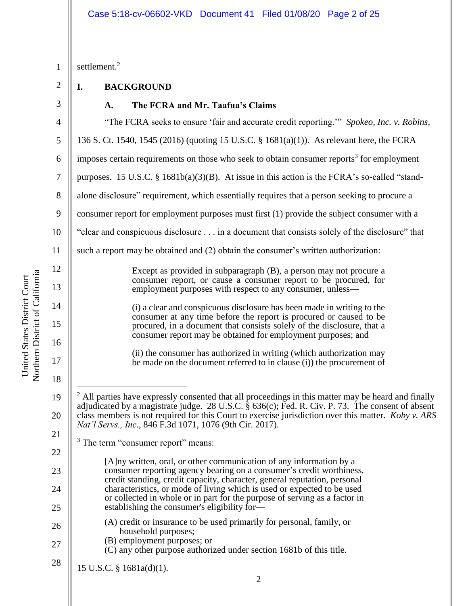### Case 5:18-cv-06602-VKD Document 41 Filed 01/08/20 Page 2 of 25

Northern District of California Northern District of California United States District Court United States District Court

2 1 2 3 4 5 6 7 8 9 10 11 12 13 14 15 16 17 18 19 20 21 22 23 24 25 26 27 28 settlement. 2 **I. BACKGROUND A. The FCRA and Mr. Taafua's Claims** "The FCRA seeks to ensure 'fair and accurate credit reporting.'" *Spokeo, Inc. v. Robins*, 136 S. Ct. 1540, 1545 (2016) (quoting 15 U.S.C. § 1681(a)(1)). As relevant here, the FCRA imposes certain requirements on those who seek to obtain consumer reports<sup>3</sup> for employment purposes. 15 U.S.C. § 1681b(a)(3)(B). At issue in this action is the FCRA's so-called "standalone disclosure" requirement, which essentially requires that a person seeking to procure a consumer report for employment purposes must first (1) provide the subject consumer with a "clear and conspicuous disclosure . . . in a document that consists solely of the disclosure" that such a report may be obtained and (2) obtain the consumer's written authorization: Except as provided in subparagraph (B), a person may not procure a consumer report, or cause a consumer report to be procured, for employment purposes with respect to any consumer, unless— (i) a clear and conspicuous disclosure has been made in writing to the consumer at any time before the report is procured or caused to be procured, in a document that consists solely of the disclosure, that a consumer report may be obtained for employment purposes; and (ii) the consumer has authorized in writing (which authorization may be made on the document referred to in clause (i)) the procurement of  $\overline{a}$  $<sup>2</sup>$  All parties have expressly consented that all proceedings in this matter may be heard and finally</sup> adjudicated by a magistrate judge. 28 U.S.C. § 636(c); Fed. R. Civ. P. 73. The consent of absent class members is not required for this Court to exercise jurisdiction over this matter. *Koby v. ARS Nat'l Servs., Inc*., 846 F.3d 1071, 1076 (9th Cir. 2017). <sup>3</sup> The term "consumer report" means: [A]ny written, oral, or other communication of any information by a consumer reporting agency bearing on a consumer's credit worthiness, credit standing, credit capacity, character, general reputation, personal characteristics, or mode of living which is used or expected to be used or collected in whole or in part for the purpose of serving as a factor in establishing the consumer's eligibility for— (A) credit or insurance to be used primarily for personal, family, or household purposes; (B) employment purposes; or (C) any other purpose authorized under section 1681b of this title. 15 U.S.C. § 1681a(d)(1).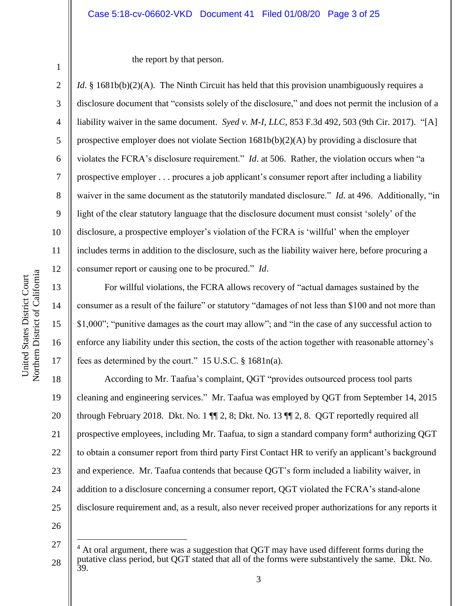#### Case 5:18-cv-06602-VKD Document 41 Filed 01/08/20 Page 3 of 25

1

2

3

4

5

6

7

8

9

10

11

12

13

14

15

16

17

the report by that person.

*Id.* § 1681b(b)(2)(A). The Ninth Circuit has held that this provision unambiguously requires a disclosure document that "consists solely of the disclosure," and does not permit the inclusion of a liability waiver in the same document. *Syed v. M-I, LLC*, 853 F.3d 492, 503 (9th Cir. 2017). "[A] prospective employer does not violate Section  $1681b(b)(2)(A)$  by providing a disclosure that violates the FCRA's disclosure requirement." *Id*. at 506. Rather, the violation occurs when "a prospective employer . . . procures a job applicant's consumer report after including a liability waiver in the same document as the statutorily mandated disclosure." *Id.* at 496. Additionally, "in light of the clear statutory language that the disclosure document must consist 'solely' of the disclosure, a prospective employer's violation of the FCRA is 'willful' when the employer includes terms in addition to the disclosure, such as the liability waiver here, before procuring a consumer report or causing one to be procured." *Id*.

For willful violations, the FCRA allows recovery of "actual damages sustained by the consumer as a result of the failure" or statutory "damages of not less than \$100 and not more than \$1,000"; "punitive damages as the court may allow"; and "in the case of any successful action to enforce any liability under this section, the costs of the action together with reasonable attorney's fees as determined by the court." 15 U.S.C. § 1681n(a).

18 19 20 21 22 23 24 25 According to Mr. Taafua's complaint, QGT "provides outsourced process tool parts cleaning and engineering services." Mr. Taafua was employed by QGT from September 14, 2015 through February 2018. Dkt. No. 1 ¶¶ 2, 8; Dkt. No. 13 ¶¶ 2, 8. QGT reportedly required all prospective employees, including Mr. Taafua, to sign a standard company form<sup>4</sup> authorizing QGT to obtain a consumer report from third party First Contact HR to verify an applicant's background and experience. Mr. Taafua contends that because QGT's form included a liability waiver, in addition to a disclosure concerning a consumer report, QGT violated the FCRA's stand-alone disclosure requirement and, as a result, also never received proper authorizations for any reports it

26

<sup>27</sup> 28  $4$  At oral argument, there was a suggestion that QGT may have used different forms during the putative class period, but QGT stated that all of the forms were substantively the same. Dkt. No. 39.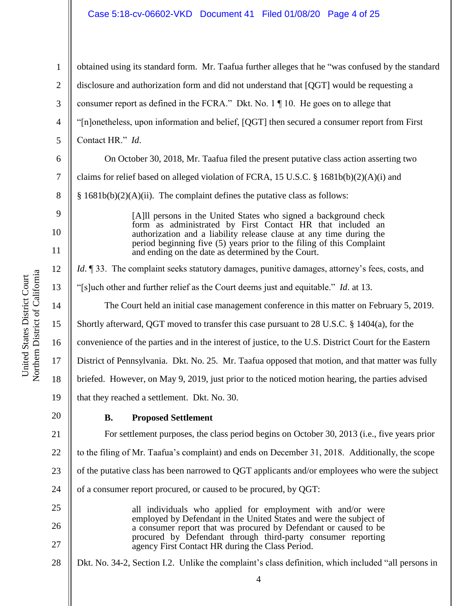#### Case 5:18-cv-06602-VKD Document 41 Filed 01/08/20 Page 4 of 25

1 2 3 4 5 6 7 8 9 10 11 12 13 14 15 16 17 18 19 20 21 22 23 24 25 26 27 28 obtained using its standard form. Mr. Taafua further alleges that he "was confused by the standard disclosure and authorization form and did not understand that [QGT] would be requesting a consumer report as defined in the FCRA." Dkt. No. 1 ¶ 10. He goes on to allege that "[n]onetheless, upon information and belief, [QGT] then secured a consumer report from First Contact HR." *Id*. On October 30, 2018, Mr. Taafua filed the present putative class action asserting two claims for relief based on alleged violation of FCRA, 15 U.S.C. § 1681b(b)(2)(A)(i) and  $§ 1681b(b)(2)(A)(ii)$ . The complaint defines the putative class as follows: [A]ll persons in the United States who signed a background check form as administrated by First Contact HR that included an authorization and a liability release clause at any time during the period beginning five (5) years prior to the filing of this Complaint and ending on the date as determined by the Court. *Id*. 133. The complaint seeks statutory damages, punitive damages, attorney's fees, costs, and "[s]uch other and further relief as the Court deems just and equitable." *Id*. at 13. The Court held an initial case management conference in this matter on February 5, 2019. Shortly afterward, QGT moved to transfer this case pursuant to 28 U.S.C. § 1404(a), for the convenience of the parties and in the interest of justice, to the U.S. District Court for the Eastern District of Pennsylvania. Dkt. No. 25. Mr. Taafua opposed that motion, and that matter was fully briefed. However, on May 9, 2019, just prior to the noticed motion hearing, the parties advised that they reached a settlement. Dkt. No. 30. **B. Proposed Settlement** For settlement purposes, the class period begins on October 30, 2013 (i.e., five years prior to the filing of Mr. Taafua's complaint) and ends on December 31, 2018. Additionally, the scope of the putative class has been narrowed to QGT applicants and/or employees who were the subject of a consumer report procured, or caused to be procured, by QGT: all individuals who applied for employment with and/or were employed by Defendant in the United States and were the subject of a consumer report that was procured by Defendant or caused to be procured by Defendant through third-party consumer reporting agency First Contact HR during the Class Period. Dkt. No. 34-2, Section I.2. Unlike the complaint's class definition, which included "all persons in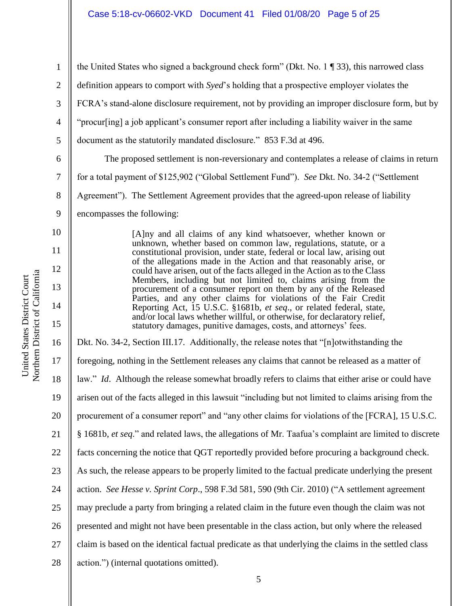Northern District of California Northern District of California United States District Court United States District Court

1 2 3 4 5 6 7 8 9 10 11 12 13 14 15 16 17 18 19 20 21 22 23 24 25 26 27 28 the United States who signed a background check form" (Dkt. No. 1 ¶ 33), this narrowed class definition appears to comport with *Syed*'s holding that a prospective employer violates the FCRA's stand-alone disclosure requirement, not by providing an improper disclosure form, but by "procur[ing] a job applicant's consumer report after including a liability waiver in the same document as the statutorily mandated disclosure." 853 F.3d at 496. The proposed settlement is non-reversionary and contemplates a release of claims in return for a total payment of \$125,902 ("Global Settlement Fund"). *See* Dkt. No. 34-2 ("Settlement Agreement"). The Settlement Agreement provides that the agreed-upon release of liability encompasses the following: [A]ny and all claims of any kind whatsoever, whether known or unknown, whether based on common law, regulations, statute, or a constitutional provision, under state, federal or local law, arising out of the allegations made in the Action and that reasonably arise, or could have arisen, out of the facts alleged in the Action as to the Class Members, including but not limited to, claims arising from the procurement of a consumer report on them by any of the Released Parties, and any other claims for violations of the Fair Credit Reporting Act, 15 U.S.C. §1681b, *et seq*., or related federal, state, and/or local laws whether willful, or otherwise, for declaratory relief, statutory damages, punitive damages, costs, and attorneys' fees. Dkt. No. 34-2, Section III.17. Additionally, the release notes that "[n]otwithstanding the foregoing, nothing in the Settlement releases any claims that cannot be released as a matter of law." *Id*. Although the release somewhat broadly refers to claims that either arise or could have arisen out of the facts alleged in this lawsuit "including but not limited to claims arising from the procurement of a consumer report" and "any other claims for violations of the [FCRA], 15 U.S.C. § 1681b, *et seq*." and related laws, the allegations of Mr. Taafua's complaint are limited to discrete facts concerning the notice that QGT reportedly provided before procuring a background check. As such, the release appears to be properly limited to the factual predicate underlying the present action. *See Hesse v. Sprint Corp*., 598 F.3d 581, 590 (9th Cir. 2010) ("A settlement agreement may preclude a party from bringing a related claim in the future even though the claim was not presented and might not have been presentable in the class action, but only where the released claim is based on the identical factual predicate as that underlying the claims in the settled class action.") (internal quotations omitted).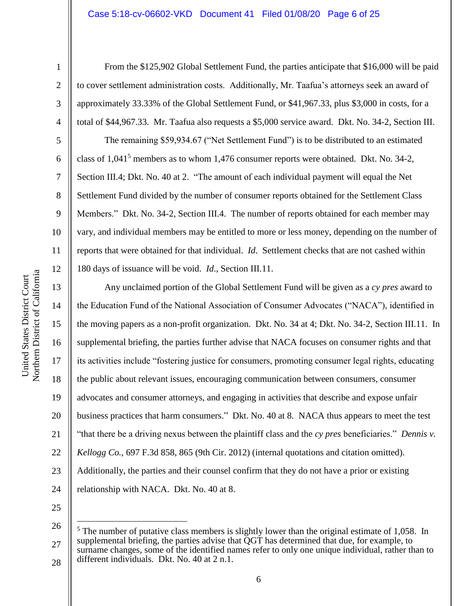#### Case 5:18-cv-06602-VKD Document 41 Filed 01/08/20 Page 6 of 25

1

2

3

4

5

6

7

8

9

10

11

12

13

14

15

16

17

18

19

20

21

22

23

24

From the \$125,902 Global Settlement Fund, the parties anticipate that \$16,000 will be paid to cover settlement administration costs. Additionally, Mr. Taafua's attorneys seek an award of approximately 33.33% of the Global Settlement Fund, or \$41,967.33, plus \$3,000 in costs, for a total of \$44,967.33. Mr. Taafua also requests a \$5,000 service award. Dkt. No. 34-2, Section III.

The remaining \$59,934.67 ("Net Settlement Fund") is to be distributed to an estimated class of  $1,041<sup>5</sup>$  members as to whom 1,476 consumer reports were obtained. Dkt. No. 34-2, Section III.4; Dkt. No. 40 at 2. "The amount of each individual payment will equal the Net Settlement Fund divided by the number of consumer reports obtained for the Settlement Class Members." Dkt. No. 34-2, Section III.4. The number of reports obtained for each member may vary, and individual members may be entitled to more or less money, depending on the number of reports that were obtained for that individual. *Id*. Settlement checks that are not cashed within 180 days of issuance will be void. *Id*., Section III.11.

Any unclaimed portion of the Global Settlement Fund will be given as a *cy pres* award to the Education Fund of the National Association of Consumer Advocates ("NACA"), identified in the moving papers as a non-profit organization. Dkt. No. 34 at 4; Dkt. No. 34-2, Section III.11. In supplemental briefing, the parties further advise that NACA focuses on consumer rights and that its activities include "fostering justice for consumers, promoting consumer legal rights, educating the public about relevant issues, encouraging communication between consumers, consumer advocates and consumer attorneys, and engaging in activities that describe and expose unfair business practices that harm consumers." Dkt. No. 40 at 8. NACA thus appears to meet the test "that there be a driving nexus between the plaintiff class and the *cy pres* beneficiaries." *Dennis v. Kellogg Co.*, 697 F.3d 858, 865 (9th Cir. 2012) (internal quotations and citation omitted). Additionally, the parties and their counsel confirm that they do not have a prior or existing relationship with NACA. Dkt. No. 40 at 8.

25

<sup>26</sup> 27 <sup>5</sup> The number of putative class members is slightly lower than the original estimate of 1,058. In supplemental briefing, the parties advise that  $\overline{O}G\dot{T}$  has determined that due, for example, to surname changes, some of the identified names refer to only one unique individual, rather than to different individuals. Dkt. No. 40 at 2 n.1.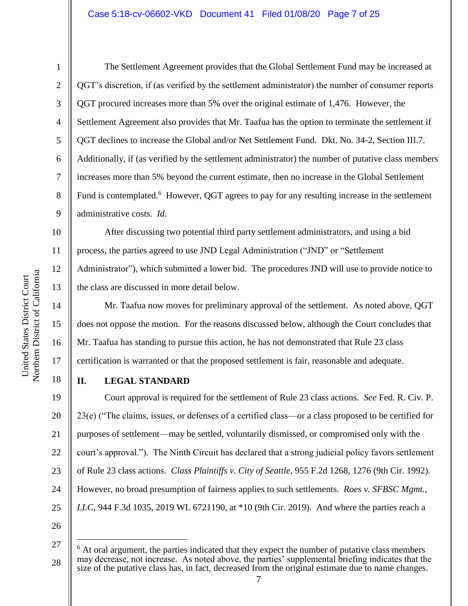1

2

3

4

5

6

7

8

9

10

11

12

13

14

15

16

17

18

The Settlement Agreement provides that the Global Settlement Fund may be increased at QGT's discretion, if (as verified by the settlement administrator) the number of consumer reports QGT procured increases more than 5% over the original estimate of 1,476. However, the Settlement Agreement also provides that Mr. Taafua has the option to terminate the settlement if QGT declines to increase the Global and/or Net Settlement Fund. Dkt. No. 34-2, Section III.7. Additionally, if (as verified by the settlement administrator) the number of putative class members increases more than 5% beyond the current estimate, then no increase in the Global Settlement Fund is contemplated.<sup>6</sup> However, QGT agrees to pay for any resulting increase in the settlement administrative costs. *Id*.

After discussing two potential third party settlement administrators, and using a bid process, the parties agreed to use JND Legal Administration ("JND" or "Settlement Administrator"), which submitted a lower bid. The procedures JND will use to provide notice to the class are discussed in more detail below.

Mr. Taafua now moves for preliminary approval of the settlement. As noted above, QGT does not oppose the motion. For the reasons discussed below, although the Court concludes that Mr. Taafua has standing to pursue this action, he has not demonstrated that Rule 23 class certification is warranted or that the proposed settlement is fair, reasonable and adequate.

## **II. LEGAL STANDARD**

19 20 21 22 23 24 25 Court approval is required for the settlement of Rule 23 class actions. *See* Fed. R. Civ. P. 23(e) ("The claims, issues, or defenses of a certified class—or a class proposed to be certified for purposes of settlement—may be settled, voluntarily dismissed, or compromised only with the court's approval."). The Ninth Circuit has declared that a strong judicial policy favors settlement of Rule 23 class actions. *Class Plaintiffs v. City of Seattle*, 955 F.2d 1268, 1276 (9th Cir. 1992). However, no broad presumption of fairness applies to such settlements. *Roes v. SFBSC Mgmt., LLC*, 944 F.3d 1035, 2019 WL 6721190, at \*10 (9th Cir. 2019). And where the parties reach a

26

<sup>27</sup> 28  $6$  At oral argument, the parties indicated that they expect the number of putative class members may decrease, not increase. As noted above, the parties' supplemental briefing indicates that the size of the putative class has, in fact, decreased from the original estimate due to name changes.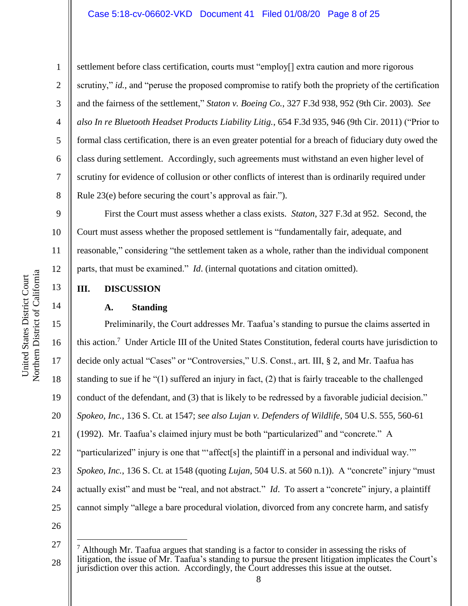1 2 3 4 5 6 7 8 settlement before class certification, courts must "employ[] extra caution and more rigorous scrutiny," *id.*, and "peruse the proposed compromise to ratify both the propriety of the certification and the fairness of the settlement," *Staton v. Boeing Co.*, 327 F.3d 938, 952 (9th Cir. 2003). *See also In re Bluetooth Headset Products Liability Litig.*, 654 F.3d 935, 946 (9th Cir. 2011) ("Prior to formal class certification, there is an even greater potential for a breach of fiduciary duty owed the class during settlement. Accordingly, such agreements must withstand an even higher level of scrutiny for evidence of collusion or other conflicts of interest than is ordinarily required under Rule 23(e) before securing the court's approval as fair.").

First the Court must assess whether a class exists. *Staton*, 327 F.3d at 952. Second, the Court must assess whether the proposed settlement is "fundamentally fair, adequate, and reasonable," considering "the settlement taken as a whole, rather than the individual component parts, that must be examined." *Id*. (internal quotations and citation omitted).

## **III. DISCUSSION**

### **A. Standing**

15 16 17 18 19 20 21 22 23 24 25 26 Preliminarily, the Court addresses Mr. Taafua's standing to pursue the claims asserted in this action.<sup>7</sup> Under Article III of the United States Constitution, federal courts have jurisdiction to decide only actual "Cases" or "Controversies," U.S. Const., art. III, § 2, and Mr. Taafua has standing to sue if he "(1) suffered an injury in fact, (2) that is fairly traceable to the challenged conduct of the defendant, and (3) that is likely to be redressed by a favorable judicial decision." *Spokeo, Inc.*, 136 S. Ct. at 1547; *see also Lujan v. Defenders of Wildlife*, 504 U.S. 555, 560-61 (1992). Mr. Taafua's claimed injury must be both "particularized" and "concrete." A "particularized" injury is one that "'affect[s] the plaintiff in a personal and individual way.'" *Spokeo, Inc.*, 136 S. Ct. at 1548 (quoting *Lujan*, 504 U.S. at 560 n.1)). A "concrete" injury "must actually exist" and must be "real, and not abstract." *Id*. To assert a "concrete" injury, a plaintiff cannot simply "allege a bare procedural violation, divorced from any concrete harm, and satisfy

 $\overline{a}$ 

9

10

11

12

13

<sup>27</sup>

<sup>28</sup>  $<sup>7</sup>$  Although Mr. Taafua argues that standing is a factor to consider in assessing the risks of</sup> litigation, the issue of Mr. Taafua's standing to pursue the present litigation implicates the Court's jurisdiction over this action. Accordingly, the Court addresses this issue at the outset.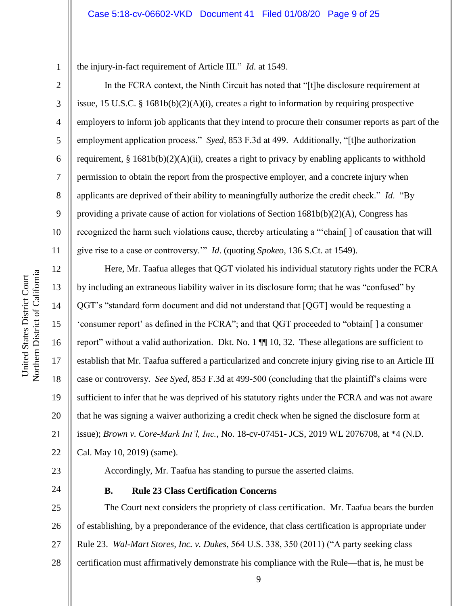the injury-in-fact requirement of Article III." *Id*. at 1549.

In the FCRA context, the Ninth Circuit has noted that "[t]he disclosure requirement at issue, 15 U.S.C. § 1681b(b)(2)(A)(i), creates a right to information by requiring prospective employers to inform job applicants that they intend to procure their consumer reports as part of the employment application process." *Syed*, 853 F.3d at 499. Additionally, "[t]he authorization requirement, §  $1681b(b)(2)(A)(ii)$ , creates a right to privacy by enabling applicants to withhold permission to obtain the report from the prospective employer, and a concrete injury when applicants are deprived of their ability to meaningfully authorize the credit check." *Id*. "By providing a private cause of action for violations of Section 1681b(b)(2)(A), Congress has recognized the harm such violations cause, thereby articulating a "'chain[ ] of causation that will give rise to a case or controversy.'" *Id*. (quoting *Spokeo*, 136 S.Ct. at 1549).

Here, Mr. Taafua alleges that QGT violated his individual statutory rights under the FCRA by including an extraneous liability waiver in its disclosure form; that he was "confused" by QGT's "standard form document and did not understand that [QGT] would be requesting a 'consumer report' as defined in the FCRA"; and that QGT proceeded to "obtain[ ] a consumer report" without a valid authorization. Dkt. No. 1 ¶¶ 10, 32. These allegations are sufficient to establish that Mr. Taafua suffered a particularized and concrete injury giving rise to an Article III case or controversy. *See Syed*, 853 F.3d at 499-500 (concluding that the plaintiff's claims were sufficient to infer that he was deprived of his statutory rights under the FCRA and was not aware that he was signing a waiver authorizing a credit check when he signed the disclosure form at issue); *Brown v. Core-Mark Int'l, Inc.*, No. 18-cv-07451- JCS, 2019 WL 2076708, at \*4 (N.D. Cal. May 10, 2019) (same).

23

24

Accordingly, Mr. Taafua has standing to pursue the asserted claims.

## **B. Rule 23 Class Certification Concerns**

25 26 27 28 The Court next considers the propriety of class certification. Mr. Taafua bears the burden of establishing, by a preponderance of the evidence, that class certification is appropriate under Rule 23. *Wal-Mart Stores, Inc. v. Dukes*, 564 U.S. 338, 350 (2011) ("A party seeking class certification must affirmatively demonstrate his compliance with the Rule—that is, he must be

1

2

3

4

5

6

7

8

9

10

11

12

13

14

15

16

17

18

19

20

21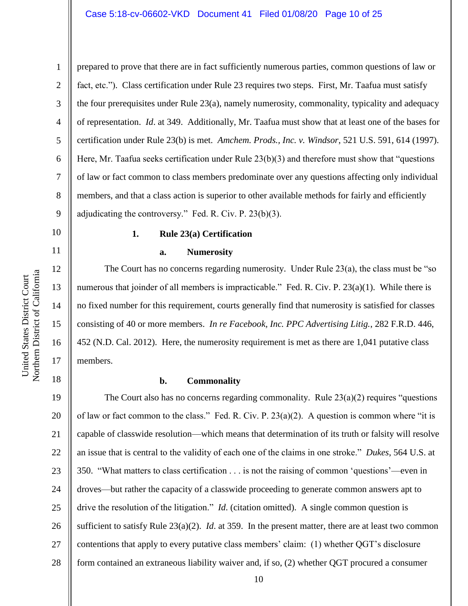2 3 4 5 6 7 8 9 prepared to prove that there are in fact sufficiently numerous parties, common questions of law or fact, etc."). Class certification under Rule 23 requires two steps. First, Mr. Taafua must satisfy the four prerequisites under Rule 23(a), namely numerosity, commonality, typicality and adequacy of representation. *Id*. at 349. Additionally, Mr. Taafua must show that at least one of the bases for certification under Rule 23(b) is met. *Amchem. Prods., Inc. v. Windsor*, 521 U.S. 591, 614 (1997). Here, Mr. Taafua seeks certification under Rule 23(b)(3) and therefore must show that "questions" of law or fact common to class members predominate over any questions affecting only individual members, and that a class action is superior to other available methods for fairly and efficiently adjudicating the controversy." Fed. R. Civ. P. 23(b)(3).

**1. Rule 23(a) Certification**

#### **a. Numerosity**

The Court has no concerns regarding numerosity. Under Rule 23(a), the class must be "so numerous that joinder of all members is impracticable." Fed. R. Civ. P. 23(a)(1). While there is no fixed number for this requirement, courts generally find that numerosity is satisfied for classes consisting of 40 or more members. *In re Facebook, Inc. PPC Advertising Litig.*, 282 F.R.D. 446, 452 (N.D. Cal. 2012). Here, the numerosity requirement is met as there are 1,041 putative class members.

18

1

10

11

12

13

14

15

16

17

#### **b. Commonality**

19 20 21 22 23 24 25 26 27 28 The Court also has no concerns regarding commonality. Rule  $23(a)(2)$  requires "questions" of law or fact common to the class." Fed. R. Civ. P.  $23(a)(2)$ . A question is common where "it is capable of classwide resolution—which means that determination of its truth or falsity will resolve an issue that is central to the validity of each one of the claims in one stroke." *Dukes*, 564 U.S. at 350. "What matters to class certification . . . is not the raising of common 'questions'—even in droves—but rather the capacity of a classwide proceeding to generate common answers apt to drive the resolution of the litigation." *Id*. (citation omitted). A single common question is sufficient to satisfy Rule 23(a)(2). *Id*. at 359. In the present matter, there are at least two common contentions that apply to every putative class members' claim: (1) whether QGT's disclosure form contained an extraneous liability waiver and, if so, (2) whether QGT procured a consumer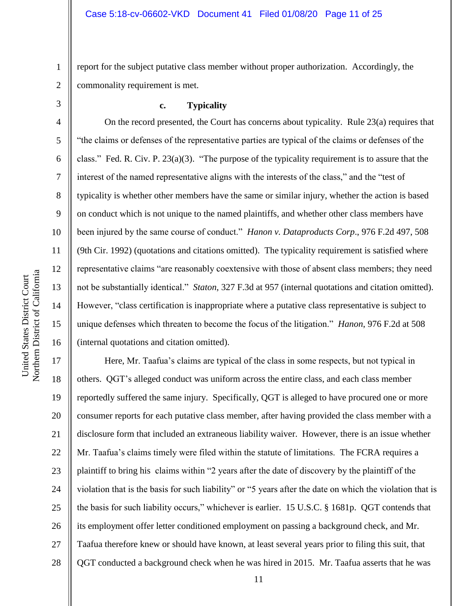2 report for the subject putative class member without proper authorization. Accordingly, the commonality requirement is met.

# 3

4

5

6

7

8

9

10

11

12

13

14

15

16

1

### **c. Typicality**

On the record presented, the Court has concerns about typicality. Rule 23(a) requires that "the claims or defenses of the representative parties are typical of the claims or defenses of the class." Fed. R. Civ. P. 23(a)(3). "The purpose of the typicality requirement is to assure that the interest of the named representative aligns with the interests of the class," and the "test of typicality is whether other members have the same or similar injury, whether the action is based on conduct which is not unique to the named plaintiffs, and whether other class members have been injured by the same course of conduct." *Hanon v. Dataproducts Corp*., 976 F.2d 497, 508 (9th Cir. 1992) (quotations and citations omitted). The typicality requirement is satisfied where representative claims "are reasonably coextensive with those of absent class members; they need not be substantially identical." *Staton*, 327 F.3d at 957 (internal quotations and citation omitted). However, "class certification is inappropriate where a putative class representative is subject to unique defenses which threaten to become the focus of the litigation." *Hanon*, 976 F.2d at 508 (internal quotations and citation omitted).

17 18 19 20 21 22 23 24 25 26 27 28 Here, Mr. Taafua's claims are typical of the class in some respects, but not typical in others. QGT's alleged conduct was uniform across the entire class, and each class member reportedly suffered the same injury. Specifically, QGT is alleged to have procured one or more consumer reports for each putative class member, after having provided the class member with a disclosure form that included an extraneous liability waiver. However, there is an issue whether Mr. Taafua's claims timely were filed within the statute of limitations. The FCRA requires a plaintiff to bring his claims within "2 years after the date of discovery by the plaintiff of the violation that is the basis for such liability" or "5 years after the date on which the violation that is the basis for such liability occurs," whichever is earlier. 15 U.S.C. § 1681p. QGT contends that its employment offer letter conditioned employment on passing a background check, and Mr. Taafua therefore knew or should have known, at least several years prior to filing this suit, that QGT conducted a background check when he was hired in 2015. Mr. Taafua asserts that he was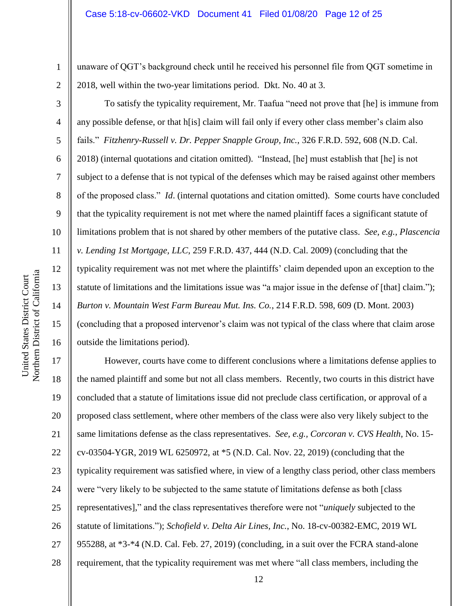unaware of QGT's background check until he received his personnel file from QGT sometime in 2018, well within the two-year limitations period. Dkt. No. 40 at 3.

To satisfy the typicality requirement, Mr. Taafua "need not prove that [he] is immune from any possible defense, or that h[is] claim will fail only if every other class member's claim also fails." *Fitzhenry-Russell v. Dr. Pepper Snapple Group, Inc.*, 326 F.R.D. 592, 608 (N.D. Cal. 2018) (internal quotations and citation omitted). "Instead, [he] must establish that [he] is not subject to a defense that is not typical of the defenses which may be raised against other members of the proposed class." *Id*. (internal quotations and citation omitted). Some courts have concluded that the typicality requirement is not met where the named plaintiff faces a significant statute of limitations problem that is not shared by other members of the putative class. *See, e.g., Plascencia v. Lending 1st Mortgage, LLC*, 259 F.R.D. 437, 444 (N.D. Cal. 2009) (concluding that the typicality requirement was not met where the plaintiffs' claim depended upon an exception to the statute of limitations and the limitations issue was "a major issue in the defense of [that] claim."); *Burton v. Mountain West Farm Bureau Mut. Ins. Co.*, 214 F.R.D. 598, 609 (D. Mont. 2003) (concluding that a proposed intervenor's claim was not typical of the class where that claim arose outside the limitations period).

17 18 19 20 21 22 23 24 25 26 27 28 However, courts have come to different conclusions where a limitations defense applies to the named plaintiff and some but not all class members. Recently, two courts in this district have concluded that a statute of limitations issue did not preclude class certification, or approval of a proposed class settlement, where other members of the class were also very likely subject to the same limitations defense as the class representatives. *See, e.g., Corcoran v. CVS Health*, No. 15 cv-03504-YGR, 2019 WL 6250972, at \*5 (N.D. Cal. Nov. 22, 2019) (concluding that the typicality requirement was satisfied where, in view of a lengthy class period, other class members were "very likely to be subjected to the same statute of limitations defense as both [class representatives]," and the class representatives therefore were not "*uniquely* subjected to the statute of limitations."); *Schofield v. Delta Air Lines, Inc.*, No. 18-cv-00382-EMC, 2019 WL 955288, at \*3-\*4 (N.D. Cal. Feb. 27, 2019) (concluding, in a suit over the FCRA stand-alone requirement, that the typicality requirement was met where "all class members, including the

1

2

3

4

5

6

7

8

9

10

11

12

13

14

15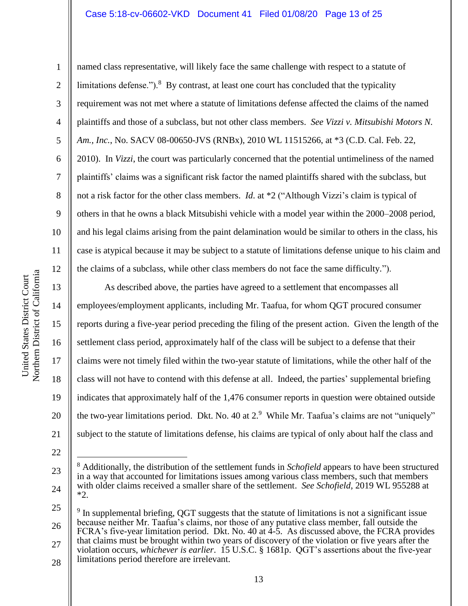### Case 5:18-cv-06602-VKD Document 41 Filed 01/08/20 Page 13 of 25

named class representative, will likely face the same challenge with respect to a statute of limitations defense.").<sup>8</sup> By contrast, at least one court has concluded that the typicality requirement was not met where a statute of limitations defense affected the claims of the named plaintiffs and those of a subclass, but not other class members. *See Vizzi v. Mitsubishi Motors N. Am., Inc.*, No. SACV 08-00650-JVS (RNBx), 2010 WL 11515266, at \*3 (C.D. Cal. Feb. 22, 2010). In *Vizzi*, the court was particularly concerned that the potential untimeliness of the named plaintiffs' claims was a significant risk factor the named plaintiffs shared with the subclass, but not a risk factor for the other class members. *Id*. at \*2 ("Although Vizzi's claim is typical of others in that he owns a black Mitsubishi vehicle with a model year within the 2000–2008 period, and his legal claims arising from the paint delamination would be similar to others in the class, his case is atypical because it may be subject to a statute of limitations defense unique to his claim and the claims of a subclass, while other class members do not face the same difficulty.").

As described above, the parties have agreed to a settlement that encompasses all employees/employment applicants, including Mr. Taafua, for whom QGT procured consumer reports during a five-year period preceding the filing of the present action. Given the length of the settlement class period, approximately half of the class will be subject to a defense that their claims were not timely filed within the two-year statute of limitations, while the other half of the class will not have to contend with this defense at all. Indeed, the parties' supplemental briefing indicates that approximately half of the 1,476 consumer reports in question were obtained outside the two-year limitations period. Dkt. No. 40 at  $2.9$  While Mr. Taafua's claims are not "uniquely" subject to the statute of limitations defense, his claims are typical of only about half the class and

 $\overline{a}$ 

\*2.

28

<sup>8</sup> Additionally, the distribution of the settlement funds in *Schofield* appears to have been structured in a way that accounted for limitations issues among various class members, such that members with older claims received a smaller share of the settlement. *See Schofield*, 2019 WL 955288 at

1

2

3

4

5

6

7

8

9

10

11

12

13

14

15

16

17

18

19

<sup>21</sup> 22

<sup>23</sup>

<sup>24</sup>

<sup>25</sup> 26 27 9 In supplemental briefing, QGT suggests that the statute of limitations is not a significant issue because neither Mr. Taafua's claims, nor those of any putative class member, fall outside the FCRA's five-year limitation period. Dkt. No. 40 at 4-5. As discussed above, the FCRA provides that claims must be brought within two years of discovery of the violation or five years after the violation occurs, *whichever is earlier*. 15 U.S.C. § 1681p. QGT's assertions about the five-year limitations period therefore are irrelevant.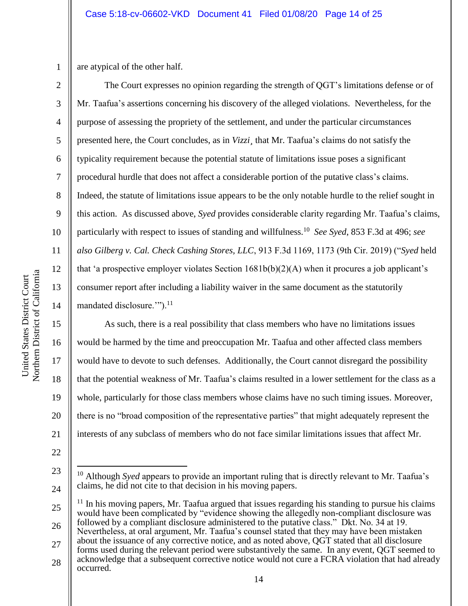1 are atypical of the other half.

2

3

4

5

6

7

8

9

10

11

12

13

14

15

16

17

18

19

20

21

22

23

 $\overline{a}$ 

The Court expresses no opinion regarding the strength of QGT's limitations defense or of Mr. Taafua's assertions concerning his discovery of the alleged violations. Nevertheless, for the purpose of assessing the propriety of the settlement, and under the particular circumstances presented here, the Court concludes, as in *Vizzi¸* that Mr. Taafua's claims do not satisfy the typicality requirement because the potential statute of limitations issue poses a significant procedural hurdle that does not affect a considerable portion of the putative class's claims. Indeed, the statute of limitations issue appears to be the only notable hurdle to the relief sought in this action. As discussed above, *Syed* provides considerable clarity regarding Mr. Taafua's claims, particularly with respect to issues of standing and willfulness.<sup>10</sup> *See Syed*, 853 F.3d at 496; *see also Gilberg v. Cal. Check Cashing Stores, LLC*, 913 F.3d 1169, 1173 (9th Cir. 2019) ("*Syed* held that 'a prospective employer violates Section 1681b(b)(2)(A) when it procures a job applicant's consumer report after including a liability waiver in the same document as the statutorily mandated disclosure."").<sup>11</sup>

As such, there is a real possibility that class members who have no limitations issues would be harmed by the time and preoccupation Mr. Taafua and other affected class members would have to devote to such defenses. Additionally, the Court cannot disregard the possibility that the potential weakness of Mr. Taafua's claims resulted in a lower settlement for the class as a whole, particularly for those class members whose claims have no such timing issues. Moreover, there is no "broad composition of the representative parties" that might adequately represent the interests of any subclass of members who do not face similar limitations issues that affect Mr.

25 26  $11$  In his moving papers, Mr. Taafua argued that issues regarding his standing to pursue his claims would have been complicated by "evidence showing the allegedly non-compliant disclosure was followed by a compliant disclosure administered to the putative class." Dkt. No. 34 at 19. Nevertheless, at oral argument, Mr. Taafua's counsel stated that they may have been mistaken

27 about the issuance of any corrective notice, and as noted above, QGT stated that all disclosure forms used during the relevant period were substantively the same. In any event, QGT seemed to acknowledge that a subsequent corrective notice would not cure a FCRA violation that had already

<sup>24</sup> <sup>10</sup> Although *Syed* appears to provide an important ruling that is directly relevant to Mr. Taafua's claims, he did not cite to that decision in his moving papers.

<sup>28</sup> occurred.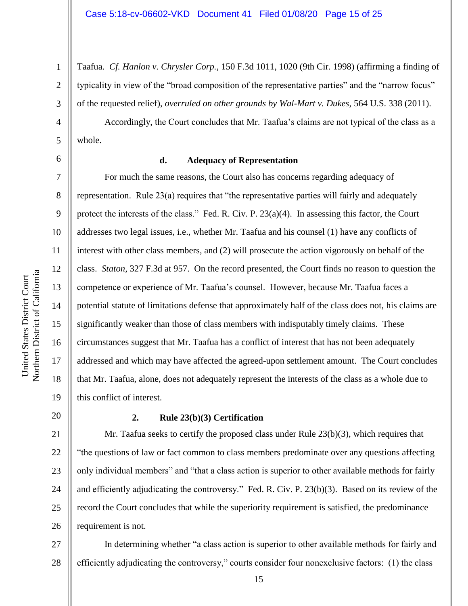Taafua. *Cf. Hanlon v. Chrysler Corp.*, 150 F.3d 1011, 1020 (9th Cir. 1998) (affirming a finding of typicality in view of the "broad composition of the representative parties" and the "narrow focus" of the requested relief), *overruled on other grounds by Wal-Mart v. Dukes*, 564 U.S. 338 (2011).

Accordingly, the Court concludes that Mr. Taafua's claims are not typical of the class as a whole.

7

8

9

10

11

12

13

14

15

16

17

18

19

1

2

3

4

5

### **d. Adequacy of Representation**

For much the same reasons, the Court also has concerns regarding adequacy of representation. Rule 23(a) requires that "the representative parties will fairly and adequately protect the interests of the class." Fed. R. Civ. P. 23(a)(4). In assessing this factor, the Court addresses two legal issues, i.e., whether Mr. Taafua and his counsel (1) have any conflicts of interest with other class members, and (2) will prosecute the action vigorously on behalf of the class. *Staton*, 327 F.3d at 957. On the record presented, the Court finds no reason to question the competence or experience of Mr. Taafua's counsel. However, because Mr. Taafua faces a potential statute of limitations defense that approximately half of the class does not, his claims are significantly weaker than those of class members with indisputably timely claims. These circumstances suggest that Mr. Taafua has a conflict of interest that has not been adequately addressed and which may have affected the agreed-upon settlement amount. The Court concludes that Mr. Taafua, alone, does not adequately represent the interests of the class as a whole due to this conflict of interest.

# 20

21

## **2. Rule 23(b)(3) Certification**

22 23 24 25 26 Mr. Taafua seeks to certify the proposed class under Rule  $23(b)(3)$ , which requires that "the questions of law or fact common to class members predominate over any questions affecting only individual members" and "that a class action is superior to other available methods for fairly and efficiently adjudicating the controversy." Fed. R. Civ. P. 23(b)(3). Based on its review of the record the Court concludes that while the superiority requirement is satisfied, the predominance requirement is not.

27 28 In determining whether "a class action is superior to other available methods for fairly and efficiently adjudicating the controversy," courts consider four nonexclusive factors: (1) the class

<sup>6</sup>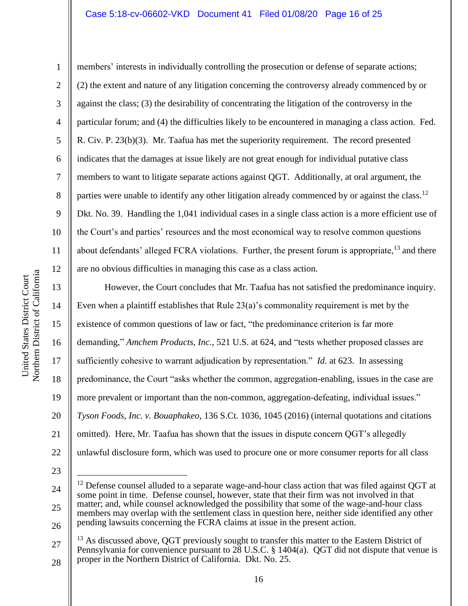#### Case 5:18-cv-06602-VKD Document 41 Filed 01/08/20 Page 16 of 25

11

1

2 3 4 5 6 7 8 9 10 12 members' interests in individually controlling the prosecution or defense of separate actions; (2) the extent and nature of any litigation concerning the controversy already commenced by or against the class; (3) the desirability of concentrating the litigation of the controversy in the particular forum; and (4) the difficulties likely to be encountered in managing a class action. Fed. R. Civ. P. 23(b)(3). Mr. Taafua has met the superiority requirement. The record presented indicates that the damages at issue likely are not great enough for individual putative class members to want to litigate separate actions against QGT. Additionally, at oral argument, the parties were unable to identify any other litigation already commenced by or against the class.<sup>12</sup> Dkt. No. 39. Handling the 1,041 individual cases in a single class action is a more efficient use of the Court's and parties' resources and the most economical way to resolve common questions about defendants' alleged FCRA violations. Further, the present forum is appropriate,<sup>13</sup> and there are no obvious difficulties in managing this case as a class action.

However, the Court concludes that Mr. Taafua has not satisfied the predominance inquiry. Even when a plaintiff establishes that Rule 23(a)'s commonality requirement is met by the existence of common questions of law or fact, "the predominance criterion is far more demanding," *Amchem Products, Inc.*, 521 U.S. at 624, and "tests whether proposed classes are sufficiently cohesive to warrant adjudication by representation." *Id*. at 623. In assessing predominance, the Court "asks whether the common, aggregation-enabling, issues in the case are more prevalent or important than the non-common, aggregation-defeating, individual issues." *Tyson Foods, Inc. v. Bouaphakeo*, 136 S.Ct. 1036, 1045 (2016) (internal quotations and citations omitted). Here, Mr. Taafua has shown that the issues in dispute concern QGT's allegedly unlawful disclosure form, which was used to procure one or more consumer reports for all class

23

 $\overline{a}$ 

22

27 28  $13$  As discussed above, OGT previously sought to transfer this matter to the Eastern District of Pennsylvania for convenience pursuant to  $28$  U.S.C. § 1404(a). QGT did not dispute that venue is proper in the Northern District of California. Dkt. No. 25.

Northern District of California Northern District of California United States District Court United States District Court

13

14

15

16

17

18

19

20

<sup>24</sup> 25 26  $12$  Defense counsel alluded to a separate wage-and-hour class action that was filed against OGT at some point in time. Defense counsel, however, state that their firm was not involved in that matter; and, while counsel acknowledged the possibility that some of the wage-and-hour class members may overlap with the settlement class in question here, neither side identified any other pending lawsuits concerning the FCRA claims at issue in the present action.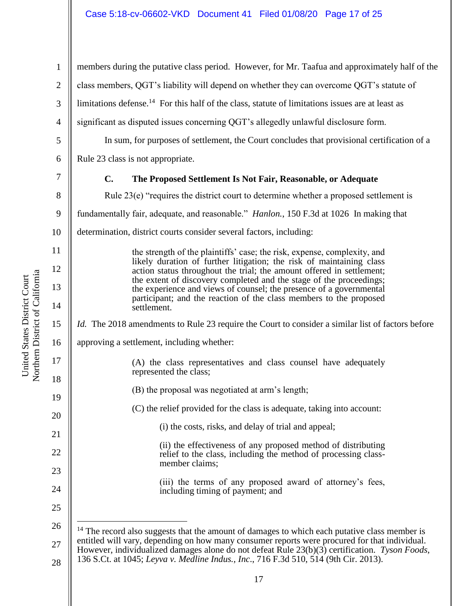1 2 3 4 5 6 7 8 9 10 11 12 13 14 15 16 17 18 19 20 21 22 23 24 25 26 27 members during the putative class period. However, for Mr. Taafua and approximately half of the class members, QGT's liability will depend on whether they can overcome QGT's statute of limitations defense.<sup>14</sup> For this half of the class, statute of limitations issues are at least as significant as disputed issues concerning QGT's allegedly unlawful disclosure form. In sum, for purposes of settlement, the Court concludes that provisional certification of a Rule 23 class is not appropriate. **C. The Proposed Settlement Is Not Fair, Reasonable, or Adequate** Rule 23(e) "requires the district court to determine whether a proposed settlement is fundamentally fair, adequate, and reasonable." *Hanlon.*, 150 F.3d at 1026 In making that determination, district courts consider several factors, including: the strength of the plaintiffs' case; the risk, expense, complexity, and likely duration of further litigation; the risk of maintaining class action status throughout the trial; the amount offered in settlement; the extent of discovery completed and the stage of the proceedings; the experience and views of counsel; the presence of a governmental participant; and the reaction of the class members to the proposed settlement. *Id.* The 2018 amendments to Rule 23 require the Court to consider a similar list of factors before approving a settlement, including whether: (A) the class representatives and class counsel have adequately represented the class; (B) the proposal was negotiated at arm's length; (C) the relief provided for the class is adequate, taking into account: (i) the costs, risks, and delay of trial and appeal; (ii) the effectiveness of any proposed method of distributing relief to the class, including the method of processing classmember claims; (iii) the terms of any proposed award of attorney's fees, including timing of payment; and  $\overline{a}$  $14$  The record also suggests that the amount of damages to which each putative class member is entitled will vary, depending on how many consumer reports were procured for that individual. However, individualized damages alone do not defeat Rule 23(b)(3) certification. *Tyson Foods*, 136 S.Ct. at 1045; *Leyva v. Medline Indus., Inc*., 716 F.3d 510, 514 (9th Cir. 2013).

Northern District of California Northern District of California United States District Court United States District Court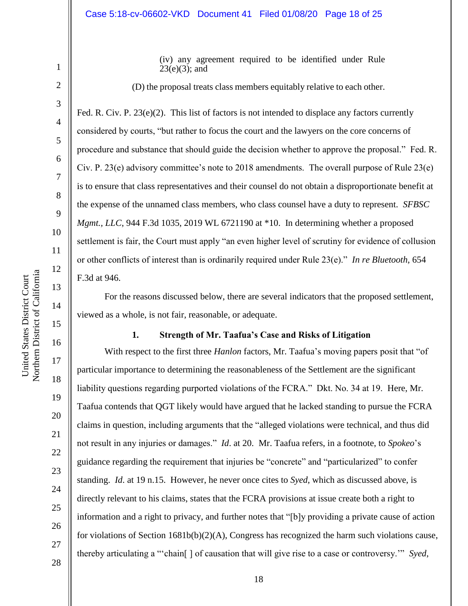(iv) any agreement required to be identified under Rule  $23(e)(3)$ ; and

(D) the proposal treats class members equitably relative to each other.

Fed. R. Civ. P.  $23(e)(2)$ . This list of factors is not intended to displace any factors currently considered by courts, "but rather to focus the court and the lawyers on the core concerns of procedure and substance that should guide the decision whether to approve the proposal." Fed. R. Civ. P. 23(e) advisory committee's note to 2018 amendments. The overall purpose of Rule 23(e) is to ensure that class representatives and their counsel do not obtain a disproportionate benefit at the expense of the unnamed class members, who class counsel have a duty to represent. *SFBSC Mgmt., LLC*, 944 F.3d 1035, 2019 WL 6721190 at \*10. In determining whether a proposed settlement is fair, the Court must apply "an even higher level of scrutiny for evidence of collusion or other conflicts of interest than is ordinarily required under Rule 23(e)." *In re Bluetooth*, 654 F.3d at 946.

For the reasons discussed below, there are several indicators that the proposed settlement, viewed as a whole, is not fair, reasonable, or adequate.

#### **1. Strength of Mr. Taafua's Case and Risks of Litigation**

With respect to the first three *Hanlon* factors, Mr. Taafua's moving papers posit that "of particular importance to determining the reasonableness of the Settlement are the significant liability questions regarding purported violations of the FCRA." Dkt. No. 34 at 19. Here, Mr. Taafua contends that QGT likely would have argued that he lacked standing to pursue the FCRA claims in question, including arguments that the "alleged violations were technical, and thus did not result in any injuries or damages." *Id*. at 20. Mr. Taafua refers, in a footnote, to *Spokeo*'s guidance regarding the requirement that injuries be "concrete" and "particularized" to confer standing. *Id*. at 19 n.15. However, he never once cites to *Syed*, which as discussed above, is directly relevant to his claims, states that the FCRA provisions at issue create both a right to information and a right to privacy, and further notes that "[b]y providing a private cause of action for violations of Section 1681b(b)(2)(A), Congress has recognized the harm such violations cause, thereby articulating a "'chain[ ] of causation that will give rise to a case or controversy.'" *Syed*,

United States District Court

United States District Court

1

2

3

4

5

6

7

8

9

19

20

21

22

23

24

25

26

27

28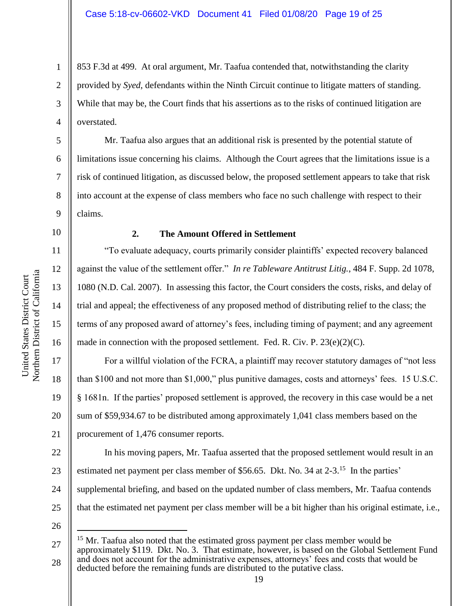853 F.3d at 499. At oral argument, Mr. Taafua contended that, notwithstanding the clarity provided by *Syed*, defendants within the Ninth Circuit continue to litigate matters of standing. While that may be, the Court finds that his assertions as to the risks of continued litigation are overstated.

Mr. Taafua also argues that an additional risk is presented by the potential statute of limitations issue concerning his claims. Although the Court agrees that the limitations issue is a risk of continued litigation, as discussed below, the proposed settlement appears to take that risk into account at the expense of class members who face no such challenge with respect to their claims.

10 11

12

13

14

15

16

17

18

19

20

21

1

2

3

4

5

6

7

8

9

### **2. The Amount Offered in Settlement**

"To evaluate adequacy, courts primarily consider plaintiffs' expected recovery balanced against the value of the settlement offer." *In re Tableware Antitrust Litig.*, 484 F. Supp. 2d 1078, 1080 (N.D. Cal. 2007). In assessing this factor, the Court considers the costs, risks, and delay of trial and appeal; the effectiveness of any proposed method of distributing relief to the class; the terms of any proposed award of attorney's fees, including timing of payment; and any agreement made in connection with the proposed settlement. Fed. R. Civ. P.  $23(e)(2)(C)$ .

For a willful violation of the FCRA, a plaintiff may recover statutory damages of "not less than \$100 and not more than \$1,000," plus punitive damages, costs and attorneys' fees. 15 U.S.C. § 1681n. If the parties' proposed settlement is approved, the recovery in this case would be a net sum of \$59,934.67 to be distributed among approximately 1,041 class members based on the procurement of 1,476 consumer reports.

22 23 24 25 In his moving papers, Mr. Taafua asserted that the proposed settlement would result in an estimated net payment per class member of \$56.65. Dkt. No. 34 at 2-3.<sup>15</sup> In the parties' supplemental briefing, and based on the updated number of class members, Mr. Taafua contends that the estimated net payment per class member will be a bit higher than his original estimate, i.e.,

26

<sup>27</sup> 28  $15$  Mr. Taafua also noted that the estimated gross payment per class member would be approximately \$119. Dkt. No. 3. That estimate, however, is based on the Global Settlement Fund and does not account for the administrative expenses, attorneys' fees and costs that would be deducted before the remaining funds are distributed to the putative class.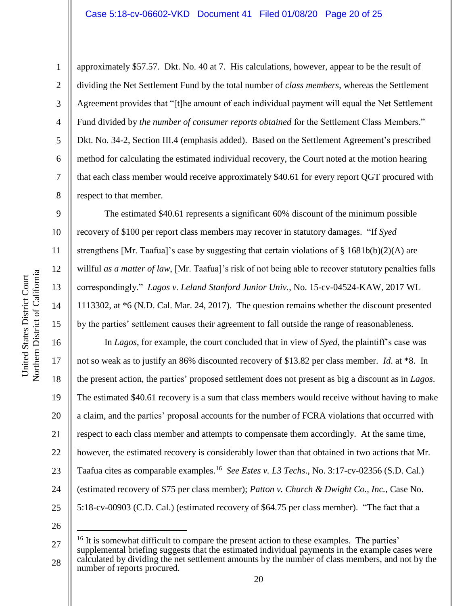1

2

3

4

5

6

7

8

9

10

11

12

13

14

15

approximately \$57.57. Dkt. No. 40 at 7. His calculations, however, appear to be the result of dividing the Net Settlement Fund by the total number of *class members*, whereas the Settlement Agreement provides that "[t]he amount of each individual payment will equal the Net Settlement Fund divided by *the number of consumer reports obtained* for the Settlement Class Members." Dkt. No. 34-2, Section III.4 (emphasis added). Based on the Settlement Agreement's prescribed method for calculating the estimated individual recovery, the Court noted at the motion hearing that each class member would receive approximately \$40.61 for every report QGT procured with respect to that member.

The estimated \$40.61 represents a significant 60% discount of the minimum possible recovery of \$100 per report class members may recover in statutory damages. "If *Syed* strengthens [Mr. Taafua]'s case by suggesting that certain violations of § 1681b(b)(2)(A) are willful *as a matter of law*, [Mr. Taafua]'s risk of not being able to recover statutory penalties falls correspondingly." *Lagos v. Leland Stanford Junior Univ.*, No. 15-cv-04524-KAW, 2017 WL 1113302, at \*6 (N.D. Cal. Mar. 24, 2017). The question remains whether the discount presented by the parties' settlement causes their agreement to fall outside the range of reasonableness.

16 17 18 19 20 21 22 23 24 25 In *Lagos*, for example, the court concluded that in view of *Syed*, the plaintiff's case was not so weak as to justify an 86% discounted recovery of \$13.82 per class member. *Id*. at \*8. In the present action, the parties' proposed settlement does not present as big a discount as in *Lagos*. The estimated \$40.61 recovery is a sum that class members would receive without having to make a claim, and the parties' proposal accounts for the number of FCRA violations that occurred with respect to each class member and attempts to compensate them accordingly. At the same time, however, the estimated recovery is considerably lower than that obtained in two actions that Mr. Taafua cites as comparable examples.<sup>16</sup> *See Estes v. L3 Techs*., No. 3:17-cv-02356 (S.D. Cal.) (estimated recovery of \$75 per class member); *Patton v. Church & Dwight Co., Inc.*, Case No. 5:18-cv-00903 (C.D. Cal.) (estimated recovery of \$64.75 per class member). "The fact that a

<sup>26</sup>

<sup>27</sup> 28  $16$  It is somewhat difficult to compare the present action to these examples. The parties' supplemental briefing suggests that the estimated individual payments in the example cases were calculated by dividing the net settlement amounts by the number of class members, and not by the number of reports procured.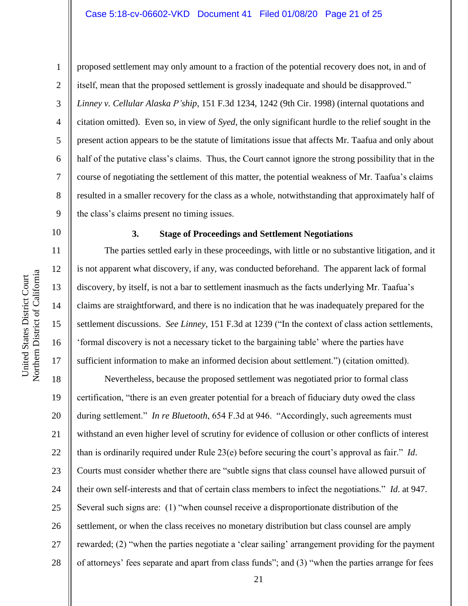1

2

3

4

5

6

7

8

9

10

11

12

13

14

15

16

17

proposed settlement may only amount to a fraction of the potential recovery does not, in and of itself, mean that the proposed settlement is grossly inadequate and should be disapproved." *Linney v. Cellular Alaska P'ship*, 151 F.3d 1234, 1242 (9th Cir. 1998) (internal quotations and citation omitted). Even so, in view of *Syed*, the only significant hurdle to the relief sought in the present action appears to be the statute of limitations issue that affects Mr. Taafua and only about half of the putative class's claims. Thus, the Court cannot ignore the strong possibility that in the course of negotiating the settlement of this matter, the potential weakness of Mr. Taafua's claims resulted in a smaller recovery for the class as a whole, notwithstanding that approximately half of the class's claims present no timing issues.

#### **3. Stage of Proceedings and Settlement Negotiations**

The parties settled early in these proceedings, with little or no substantive litigation, and it is not apparent what discovery, if any, was conducted beforehand. The apparent lack of formal discovery, by itself, is not a bar to settlement inasmuch as the facts underlying Mr. Taafua's claims are straightforward, and there is no indication that he was inadequately prepared for the settlement discussions. *See Linney*, 151 F.3d at 1239 ("In the context of class action settlements, 'formal discovery is not a necessary ticket to the bargaining table' where the parties have sufficient information to make an informed decision about settlement.") (citation omitted).

18 19 20 21 22 23 24 25 26 27 28 Nevertheless, because the proposed settlement was negotiated prior to formal class certification, "there is an even greater potential for a breach of fiduciary duty owed the class during settlement." *In re Bluetooth*, 654 F.3d at 946. "Accordingly, such agreements must withstand an even higher level of scrutiny for evidence of collusion or other conflicts of interest than is ordinarily required under Rule 23(e) before securing the court's approval as fair." *Id*. Courts must consider whether there are "subtle signs that class counsel have allowed pursuit of their own self-interests and that of certain class members to infect the negotiations." *Id*. at 947. Several such signs are: (1) "when counsel receive a disproportionate distribution of the settlement, or when the class receives no monetary distribution but class counsel are amply rewarded; (2) "when the parties negotiate a 'clear sailing' arrangement providing for the payment of attorneys' fees separate and apart from class funds"; and (3) "when the parties arrange for fees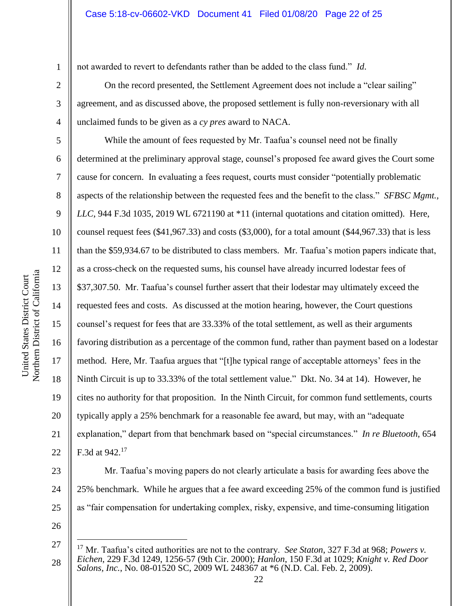not awarded to revert to defendants rather than be added to the class fund." *Id*.

On the record presented, the Settlement Agreement does not include a "clear sailing" agreement, and as discussed above, the proposed settlement is fully non-reversionary with all unclaimed funds to be given as a *cy pres* award to NACA.

While the amount of fees requested by Mr. Taafua's counsel need not be finally determined at the preliminary approval stage, counsel's proposed fee award gives the Court some cause for concern. In evaluating a fees request, courts must consider "potentially problematic aspects of the relationship between the requested fees and the benefit to the class." *SFBSC Mgmt., LLC*, 944 F.3d 1035, 2019 WL 6721190 at \*11 (internal quotations and citation omitted). Here, counsel request fees (\$41,967.33) and costs (\$3,000), for a total amount (\$44,967.33) that is less than the \$59,934.67 to be distributed to class members. Mr. Taafua's motion papers indicate that, as a cross-check on the requested sums, his counsel have already incurred lodestar fees of \$37,307.50. Mr. Taafua's counsel further assert that their lodestar may ultimately exceed the requested fees and costs. As discussed at the motion hearing, however, the Court questions counsel's request for fees that are 33.33% of the total settlement, as well as their arguments favoring distribution as a percentage of the common fund, rather than payment based on a lodestar method. Here, Mr. Taafua argues that "[t]he typical range of acceptable attorneys' fees in the Ninth Circuit is up to 33.33% of the total settlement value." Dkt. No. 34 at 14). However, he cites no authority for that proposition. In the Ninth Circuit, for common fund settlements, courts typically apply a 25% benchmark for a reasonable fee award, but may, with an "adequate explanation," depart from that benchmark based on "special circumstances." *In re Bluetooth*, 654 F.3d at 942.<sup>17</sup>

Mr. Taafua's moving papers do not clearly articulate a basis for awarding fees above the 25% benchmark. While he argues that a fee award exceeding 25% of the common fund is justified as "fair compensation for undertaking complex, risky, expensive, and time-consuming litigation

26

27

 $\overline{a}$ 

28

25

1

2

3

4

5

6

7

8

9

10

11

12

13

14

15

16

17

18

19

20

21

22

23

<sup>17</sup> Mr. Taafua's cited authorities are not to the contrary. *See Staton*, 327 F.3d at 968; *Powers v. Eichen*, 229 F.3d 1249, 1256-57 (9th Cir. 2000); *Hanlon*, 150 F.3d at 1029; *Knight v. Red Door Salons, Inc.*, No. 08-01520 SC, 2009 WL 248367 at \*6 (N.D. Cal. Feb. 2, 2009).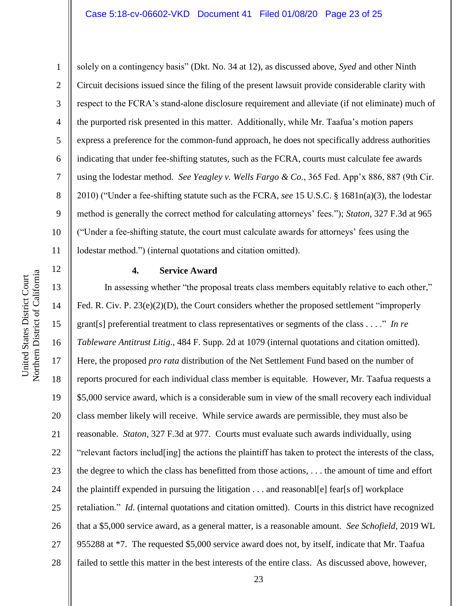1 2 3 4 5 6 7 8 9 10 11 solely on a contingency basis" (Dkt. No. 34 at 12), as discussed above, *Syed* and other Ninth Circuit decisions issued since the filing of the present lawsuit provide considerable clarity with respect to the FCRA's stand-alone disclosure requirement and alleviate (if not eliminate) much of the purported risk presented in this matter. Additionally, while Mr. Taafua's motion papers express a preference for the common-fund approach, he does not specifically address authorities indicating that under fee-shifting statutes, such as the FCRA, courts must calculate fee awards using the lodestar method. *See Yeagley v. Wells Fargo & Co.*, 365 Fed. App'x 886, 887 (9th Cir. 2010) ("Under a fee-shifting statute such as the FCRA, *see* 15 U.S.C. § 1681n(a)(3), the lodestar method is generally the correct method for calculating attorneys' fees."); *Staton*, 327 F.3d at 965 ("Under a fee-shifting statute, the court must calculate awards for attorneys' fees using the lodestar method.") (internal quotations and citation omitted).

### **4. Service Award**

13 14 15 16 17 18 19 20 21 22 23 24 25 26 27 28 In assessing whether "the proposal treats class members equitably relative to each other," Fed. R. Civ. P. 23(e)(2)(D), the Court considers whether the proposed settlement "improperly grant[s] preferential treatment to class representatives or segments of the class . . . ." *In re Tableware Antitrust Litig*., 484 F. Supp. 2d at 1079 (internal quotations and citation omitted). Here, the proposed *pro rata* distribution of the Net Settlement Fund based on the number of reports procured for each individual class member is equitable. However, Mr. Taafua requests a \$5,000 service award, which is a considerable sum in view of the small recovery each individual class member likely will receive. While service awards are permissible, they must also be reasonable. *Staton*, 327 F.3d at 977. Courts must evaluate such awards individually, using "relevant factors includ[ing] the actions the plaintiff has taken to protect the interests of the class, the degree to which the class has benefitted from those actions, . . . the amount of time and effort the plaintiff expended in pursuing the litigation . . . and reasonabl[e] fear[s of] workplace retaliation." *Id*. (internal quotations and citation omitted). Courts in this district have recognized that a \$5,000 service award, as a general matter, is a reasonable amount. *See Schofield*, 2019 WL 955288 at \*7. The requested \$5,000 service award does not, by itself, indicate that Mr. Taafua failed to settle this matter in the best interests of the entire class. As discussed above, however,

12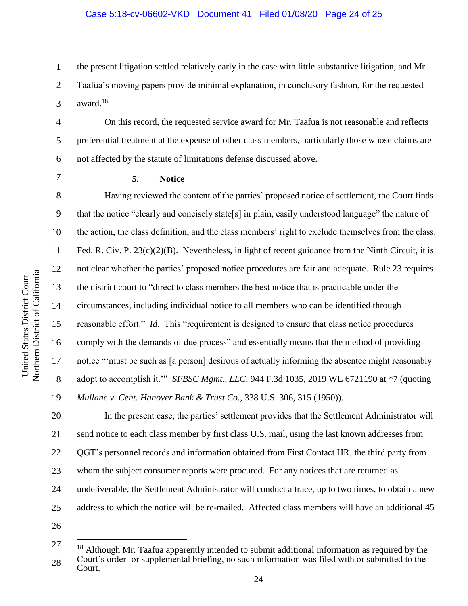the present litigation settled relatively early in the case with little substantive litigation, and Mr. Taafua's moving papers provide minimal explanation, in conclusory fashion, for the requested award.<sup>18</sup>

On this record, the requested service award for Mr. Taafua is not reasonable and reflects preferential treatment at the expense of other class members, particularly those whose claims are not affected by the statute of limitations defense discussed above.

1

2

3

4

5

6

7

8

9

10

11

12

13

14

15

16

17

18

19

## **5. Notice**

Having reviewed the content of the parties' proposed notice of settlement, the Court finds that the notice "clearly and concisely state[s] in plain, easily understood language" the nature of the action, the class definition, and the class members' right to exclude themselves from the class. Fed. R. Civ. P.  $23(c)(2)(B)$ . Nevertheless, in light of recent guidance from the Ninth Circuit, it is not clear whether the parties' proposed notice procedures are fair and adequate. Rule 23 requires the district court to "direct to class members the best notice that is practicable under the circumstances, including individual notice to all members who can be identified through reasonable effort." *Id*. This "requirement is designed to ensure that class notice procedures comply with the demands of due process" and essentially means that the method of providing notice "'must be such as [a person] desirous of actually informing the absentee might reasonably adopt to accomplish it.'" *SFBSC Mgmt., LLC*, 944 F.3d 1035, 2019 WL 6721190 at \*7 (quoting *Mullane v. Cent. Hanover Bank & Trust Co.*, 338 U.S. 306, 315 (1950)).

20 21 22 23 24 25 In the present case, the parties' settlement provides that the Settlement Administrator will send notice to each class member by first class U.S. mail, using the last known addresses from QGT's personnel records and information obtained from First Contact HR, the third party from whom the subject consumer reports were procured. For any notices that are returned as undeliverable, the Settlement Administrator will conduct a trace, up to two times, to obtain a new address to which the notice will be re-mailed. Affected class members will have an additional 45

26

<sup>27</sup> 28  $18$  Although Mr. Taafua apparently intended to submit additional information as required by the Court's order for supplemental briefing, no such information was filed with or submitted to the Court.